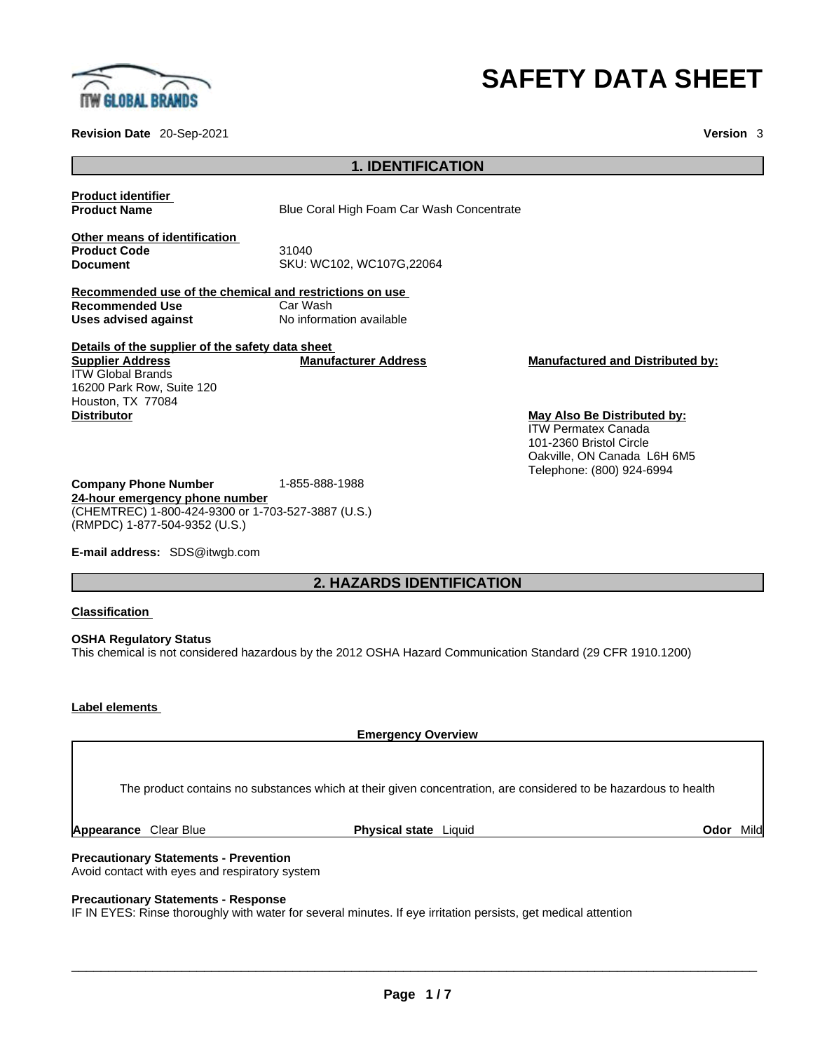

### **Revision Date** 20-Sep-2021 **Version** 3

# **SAFETY DATA SHEET**

| <b>Product identifier</b>                               |                                           |                             |
|---------------------------------------------------------|-------------------------------------------|-----------------------------|
| <b>Product Name</b>                                     | Blue Coral High Foam Car Wash Concentrate |                             |
| Other means of identification                           |                                           |                             |
| <b>Product Code</b>                                     | 31040                                     |                             |
| <b>Document</b>                                         | SKU: WC102, WC107G, 22064                 |                             |
| Recommended use of the chemical and restrictions on use |                                           |                             |
| Recommended Use                                         | Car Wash                                  |                             |
| Uses advised against                                    | No information available                  |                             |
| Details of the supplier of the safety data sheet        |                                           |                             |
| <b>Supplier Address</b>                                 | <b>Manufacturer Address</b>               | <b>Manufactured and Di</b>  |
| <b>ITW Global Brands</b>                                |                                           |                             |
| 16200 Park Row, Suite 120                               |                                           |                             |
| Houston, TX 77084                                       |                                           |                             |
| <b>Distributor</b>                                      |                                           | <b>May Also Be Distribu</b> |

**Manufactured and Distributed by:** 

**May Also Be Distributed by:** ITW Permatex Canada 101-2360 Bristol Circle Oakville, ON Canada L6H 6M5 Telephone: (800) 924-6994

**Company Phone Number** 1-855-888-1988 **24-hour emergency phone number** (CHEMTREC) 1-800-424-9300 or 1-703-527-3887 (U.S.) (RMPDC) 1-877-504-9352 (U.S.)

**E-mail address:** SDS@itwgb.com

# **2. HAZARDS IDENTIFICATION**

**1. IDENTIFICATION** 

**Classification**

**OSHA Regulatory Status** This chemical is not considered hazardous by the 2012 OSHA Hazard Communication Standard (29 CFR 1910.1200)

### **Label elements**

**Emergency Overview** 

The product contains no substances which at their given concentration, are considered to be hazardous to health

**Appearance** Clear Blue **Physical state** Liquid **Odor** Mild

**Precautionary Statements - Prevention** Avoid contact with eyes and respiratory system

**Precautionary Statements - Response**

IF IN EYES: Rinse thoroughly with water for several minutes. If eye irritation persists, get medical attention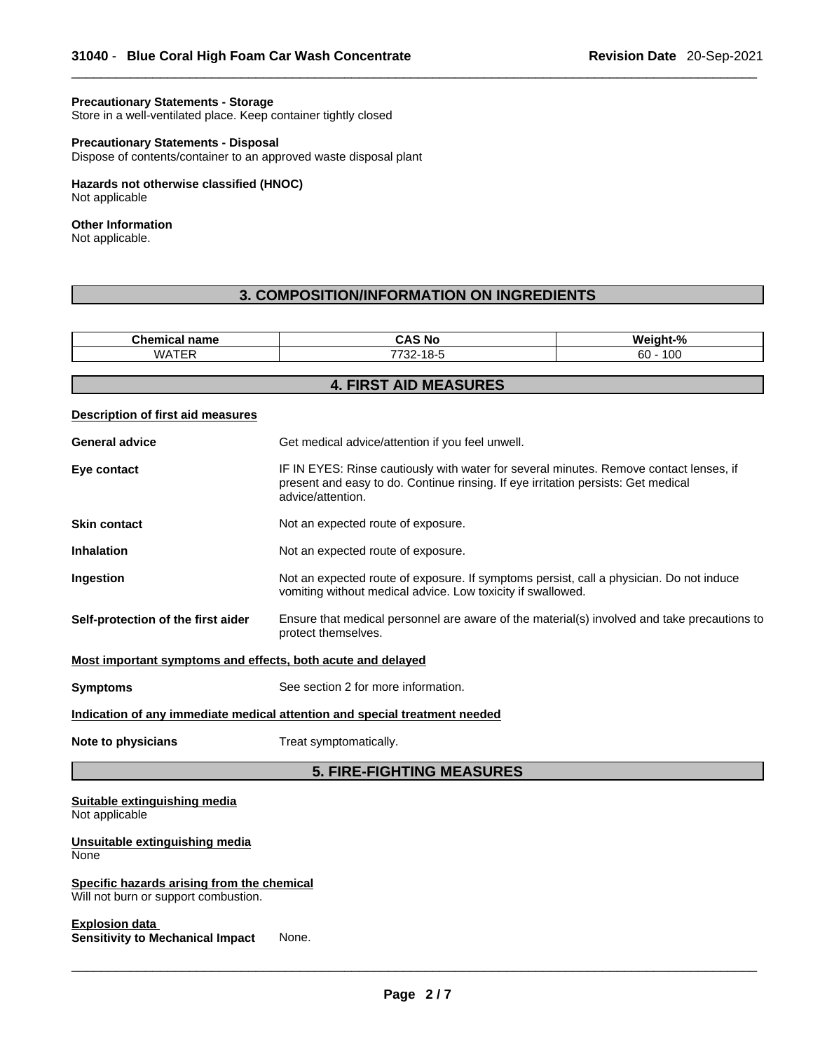#### **Precautionary Statements - Storage**

Store in a well-ventilated place. Keep container tightly closed

### **Precautionary Statements - Disposal**

Dispose of contents/container to an approved waste disposal plant

### **Hazards not otherwise classified (HNOC)**  Not applicable

### **Other Information**

Not applicable.

# **3. COMPOSITION/INFORMATION ON INGREDIENTS**

| <b>Chemical name</b>                                                               | <b>CAS No</b>                                                                                                                                                                                    | Weight-%   |
|------------------------------------------------------------------------------------|--------------------------------------------------------------------------------------------------------------------------------------------------------------------------------------------------|------------|
| <b>WATER</b>                                                                       | 7732-18-5                                                                                                                                                                                        | $60 - 100$ |
|                                                                                    | <b>4. FIRST AID MEASURES</b>                                                                                                                                                                     |            |
|                                                                                    |                                                                                                                                                                                                  |            |
| Description of first aid measures                                                  |                                                                                                                                                                                                  |            |
| <b>General advice</b>                                                              | Get medical advice/attention if you feel unwell.                                                                                                                                                 |            |
| Eye contact                                                                        | IF IN EYES: Rinse cautiously with water for several minutes. Remove contact lenses, if<br>present and easy to do. Continue rinsing. If eye irritation persists: Get medical<br>advice/attention. |            |
| <b>Skin contact</b>                                                                | Not an expected route of exposure.                                                                                                                                                               |            |
| <b>Inhalation</b>                                                                  | Not an expected route of exposure.                                                                                                                                                               |            |
| Ingestion                                                                          | Not an expected route of exposure. If symptoms persist, call a physician. Do not induce<br>vomiting without medical advice. Low toxicity if swallowed.                                           |            |
| Self-protection of the first aider                                                 | Ensure that medical personnel are aware of the material(s) involved and take precautions to<br>protect themselves.                                                                               |            |
| Most important symptoms and effects, both acute and delayed                        |                                                                                                                                                                                                  |            |
| <b>Symptoms</b>                                                                    | See section 2 for more information.                                                                                                                                                              |            |
|                                                                                    | Indication of any immediate medical attention and special treatment needed                                                                                                                       |            |
| Note to physicians                                                                 | Treat symptomatically.                                                                                                                                                                           |            |
|                                                                                    | <b>5. FIRE-FIGHTING MEASURES</b>                                                                                                                                                                 |            |
| Suitable extinguishing media<br>Not applicable                                     |                                                                                                                                                                                                  |            |
| Unsuitable extinguishing media<br>None                                             |                                                                                                                                                                                                  |            |
| Specific hazards arising from the chemical<br>Will not burn or support combustion. |                                                                                                                                                                                                  |            |
| <b>Explosion data</b><br><b>Sensitivity to Mechanical Impact</b>                   | None.                                                                                                                                                                                            |            |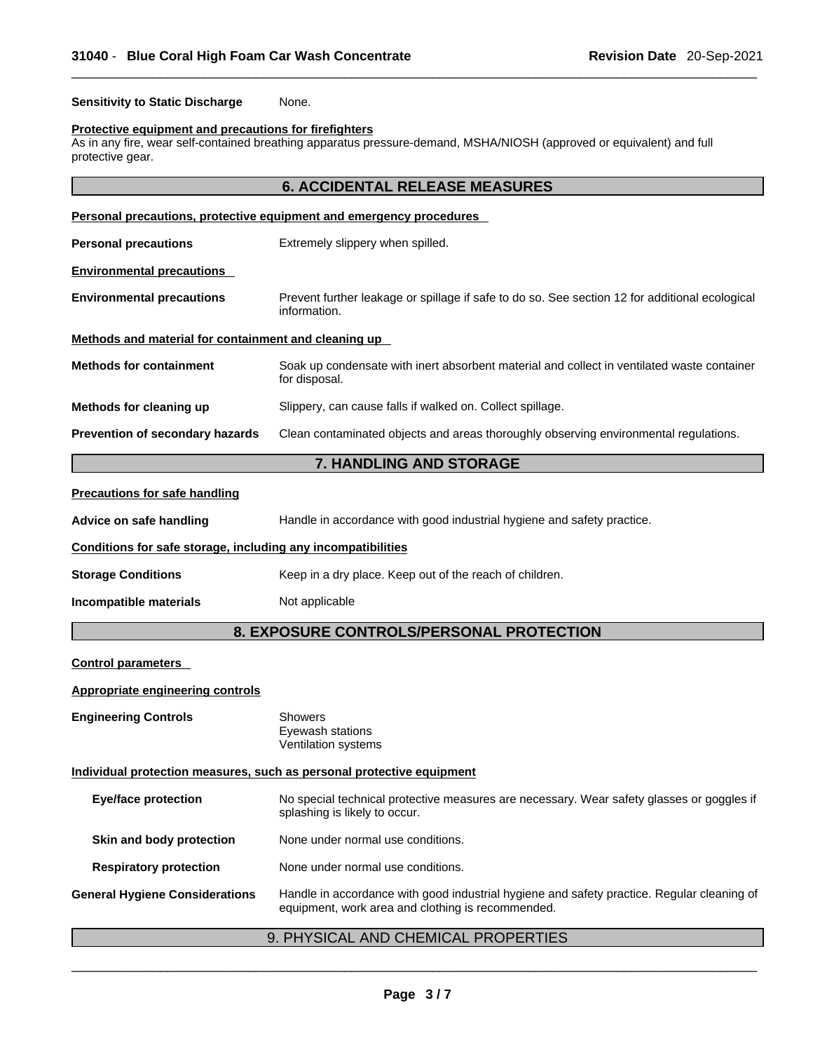**Sensitivity to Static Discharge** None.

#### **Protective equipment and precautions for firefighters**

As in any fire, wear self-contained breathing apparatus pressure-demand, MSHA/NIOSH (approved or equivalent) and full protective gear.

# **6. ACCIDENTAL RELEASE MEASURES**

|                                                              | Personal precautions, protective equipment and emergency procedures                                            |
|--------------------------------------------------------------|----------------------------------------------------------------------------------------------------------------|
| <b>Personal precautions</b>                                  | Extremely slippery when spilled.                                                                               |
| <b>Environmental precautions</b>                             |                                                                                                                |
| <b>Environmental precautions</b>                             | Prevent further leakage or spillage if safe to do so. See section 12 for additional ecological<br>information. |
| Methods and material for containment and cleaning up         |                                                                                                                |
| <b>Methods for containment</b>                               | Soak up condensate with inert absorbent material and collect in ventilated waste container<br>for disposal.    |
| Methods for cleaning up                                      | Slippery, can cause falls if walked on. Collect spillage.                                                      |
| Prevention of secondary hazards                              | Clean contaminated objects and areas thoroughly observing environmental regulations.                           |
|                                                              | 7. HANDLING AND STORAGE                                                                                        |
| <b>Precautions for safe handling</b>                         |                                                                                                                |
| Advice on safe handling                                      | Handle in accordance with good industrial hygiene and safety practice.                                         |
| Conditions for safe storage, including any incompatibilities |                                                                                                                |
| <b>Storage Conditions</b>                                    | Keep in a dry place. Keep out of the reach of children.                                                        |
| Incompatible materials                                       | Not applicable                                                                                                 |
|                                                              | 8. EXPOSURE CONTROLS/PERSONAL PROTECTION                                                                       |
| <b>Control parameters</b>                                    |                                                                                                                |
| Appropriate engineering controls                             |                                                                                                                |
| <b>Engineering Controls</b>                                  | Showers<br>Eyewash stations<br>Ventilation systems                                                             |

### **Individual protection measures, such as personal protective equipment**

| splashing is likely to occur.                                                                                                                                                            |
|------------------------------------------------------------------------------------------------------------------------------------------------------------------------------------------|
| None under normal use conditions.<br>Skin and body protection                                                                                                                            |
| None under normal use conditions.<br><b>Respiratory protection</b>                                                                                                                       |
| Handle in accordance with good industrial hygiene and safety practice. Regular cleaning of<br><b>General Hygiene Considerations</b><br>equipment, work area and clothing is recommended. |

# 9. PHYSICAL AND CHEMICAL PROPERTIES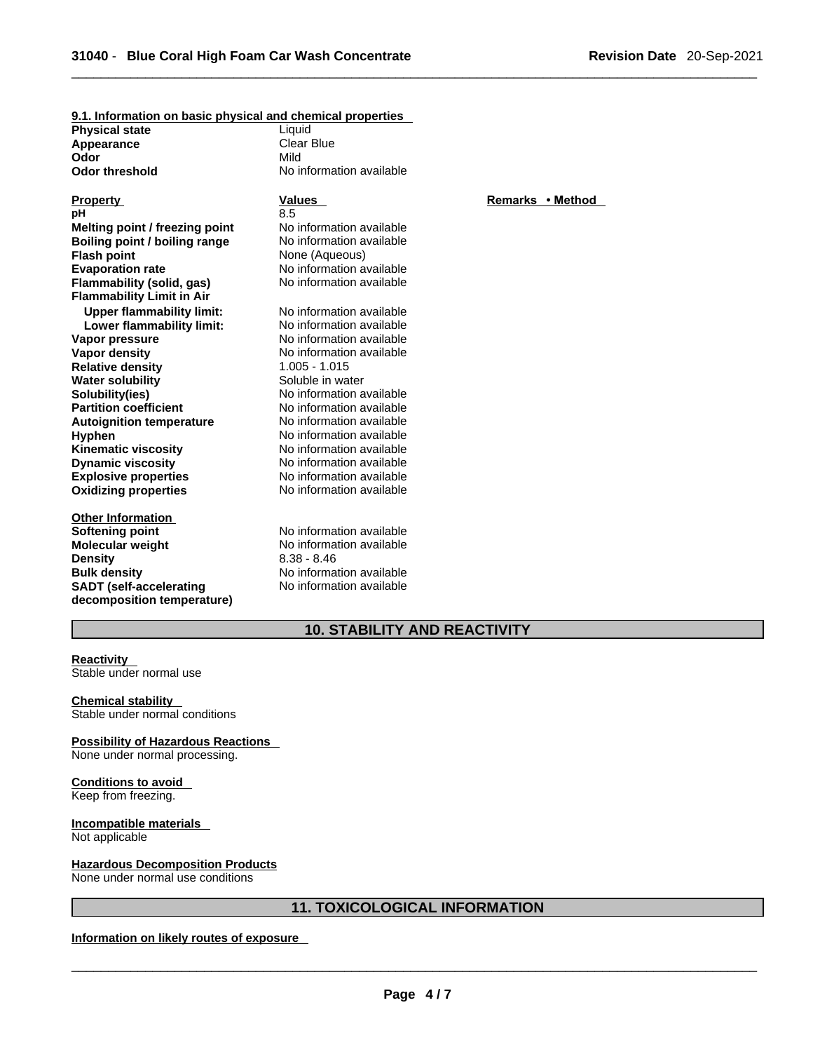| <u>3.1. Illiofination on basic privered and chemical properties</u> |                          |                  |
|---------------------------------------------------------------------|--------------------------|------------------|
| <b>Physical state</b>                                               | Liquid                   |                  |
| Appearance                                                          | <b>Clear Blue</b>        |                  |
| Odor                                                                | Mild                     |                  |
| <b>Odor threshold</b>                                               | No information available |                  |
|                                                                     |                          |                  |
| <b>Property</b>                                                     | Values                   | Remarks • Method |
| рH                                                                  | 8.5                      |                  |
| Melting point / freezing point                                      | No information available |                  |
| Boiling point / boiling range                                       | No information available |                  |
| <b>Flash point</b>                                                  | None (Aqueous)           |                  |
| <b>Evaporation rate</b>                                             | No information available |                  |
| Flammability (solid, gas)                                           | No information available |                  |
| <b>Flammability Limit in Air</b>                                    |                          |                  |
| <b>Upper flammability limit:</b>                                    | No information available |                  |
| Lower flammability limit:                                           | No information available |                  |
| Vapor pressure                                                      | No information available |                  |
| Vapor density                                                       | No information available |                  |
| <b>Relative density</b>                                             | $1.005 - 1.015$          |                  |
| <b>Water solubility</b>                                             | Soluble in water         |                  |
| Solubility(ies)                                                     | No information available |                  |
| <b>Partition coefficient</b>                                        | No information available |                  |
| <b>Autoignition temperature</b>                                     | No information available |                  |
| <b>Hyphen</b>                                                       | No information available |                  |
| <b>Kinematic viscosity</b>                                          | No information available |                  |
| <b>Dynamic viscosity</b>                                            | No information available |                  |
| <b>Explosive properties</b>                                         | No information available |                  |
| <b>Oxidizing properties</b>                                         | No information available |                  |
|                                                                     |                          |                  |
| <b>Other Information</b>                                            |                          |                  |
| <b>Softening point</b>                                              | No information available |                  |
| <b>Molecular weight</b>                                             | No information available |                  |
| <b>Density</b>                                                      | $8.38 - 8.46$            |                  |
| <b>Bulk density</b>                                                 | No information available |                  |
| <b>SADT</b> (self-accelerating                                      | No information available |                  |
| decomposition temperature)                                          |                          |                  |
|                                                                     |                          |                  |

**9.1. Information on basic physical and chemical properties**

# **10. STABILITY AND REACTIVITY**

#### **Reactivity**  Stable under normal use

**Chemical stability**  Stable under normal conditions

**Possibility of Hazardous Reactions**  None under normal processing.

**Conditions to avoid**  Keep from freezing.

**Incompatible materials**  Not applicable

**Hazardous Decomposition Products** None under normal use conditions

# **11. TOXICOLOGICAL INFORMATION**

**Information on likely routes of exposure**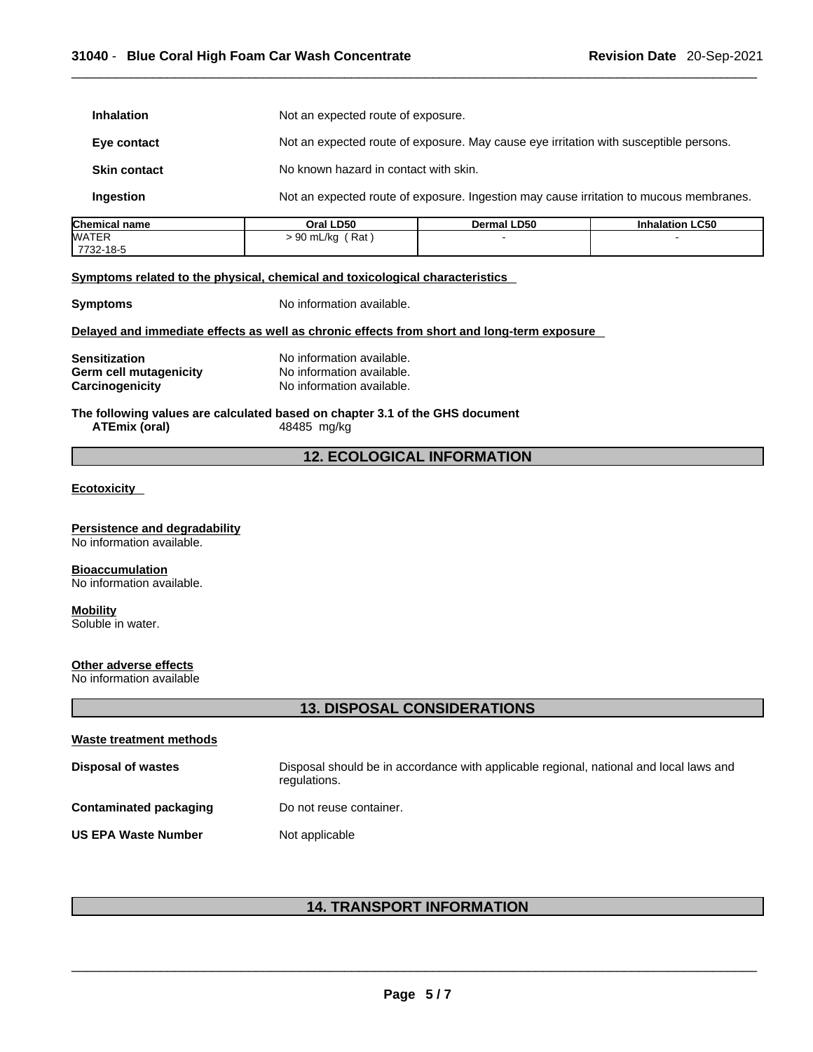| <b>Inhalation</b>                                          |                                                                                             | Not an expected route of exposure.                                                     |                        |  |  |
|------------------------------------------------------------|---------------------------------------------------------------------------------------------|----------------------------------------------------------------------------------------|------------------------|--|--|
| Eye contact                                                |                                                                                             | Not an expected route of exposure. May cause eye irritation with susceptible persons.  |                        |  |  |
| <b>Skin contact</b>                                        |                                                                                             | No known hazard in contact with skin.                                                  |                        |  |  |
| Ingestion                                                  |                                                                                             | Not an expected route of exposure. Ingestion may cause irritation to mucous membranes. |                        |  |  |
| <b>Chemical name</b>                                       | Oral LD50                                                                                   | Dermal LD50                                                                            | <b>Inhalation LC50</b> |  |  |
| <b>WATER</b><br>7732-18-5                                  | $> 90$ mL/kg (Rat)                                                                          |                                                                                        |                        |  |  |
|                                                            | Symptoms related to the physical, chemical and toxicological characteristics                |                                                                                        |                        |  |  |
| <b>Symptoms</b>                                            | No information available.                                                                   |                                                                                        |                        |  |  |
|                                                            | Delayed and immediate effects as well as chronic effects from short and long-term exposure  |                                                                                        |                        |  |  |
| Sensitization                                              | No information available.                                                                   |                                                                                        |                        |  |  |
| Germ cell mutagenicity                                     | No information available.                                                                   |                                                                                        |                        |  |  |
| Carcinogenicity                                            | No information available.                                                                   |                                                                                        |                        |  |  |
| <b>ATEmix (oral)</b>                                       | The following values are calculated based on chapter 3.1 of the GHS document<br>48485 mg/kg |                                                                                        |                        |  |  |
|                                                            | <b>12. ECOLOGICAL INFORMATION</b>                                                           |                                                                                        |                        |  |  |
| <u>Ecotoxicity</u>                                         |                                                                                             |                                                                                        |                        |  |  |
| Persistence and degradability<br>No information available. |                                                                                             |                                                                                        |                        |  |  |

**Bioaccumulation** No information available.

# **Mobility**

Soluble in water.

# **Other adverse effects**

No information available

# **13. DISPOSAL CONSIDERATIONS**

| Waste treatment methods    |                                                                                                        |
|----------------------------|--------------------------------------------------------------------------------------------------------|
| <b>Disposal of wastes</b>  | Disposal should be in accordance with applicable regional, national and local laws and<br>regulations. |
| Contaminated packaging     | Do not reuse container.                                                                                |
| <b>US EPA Waste Number</b> | Not applicable                                                                                         |

# **14. TRANSPORT INFORMATION**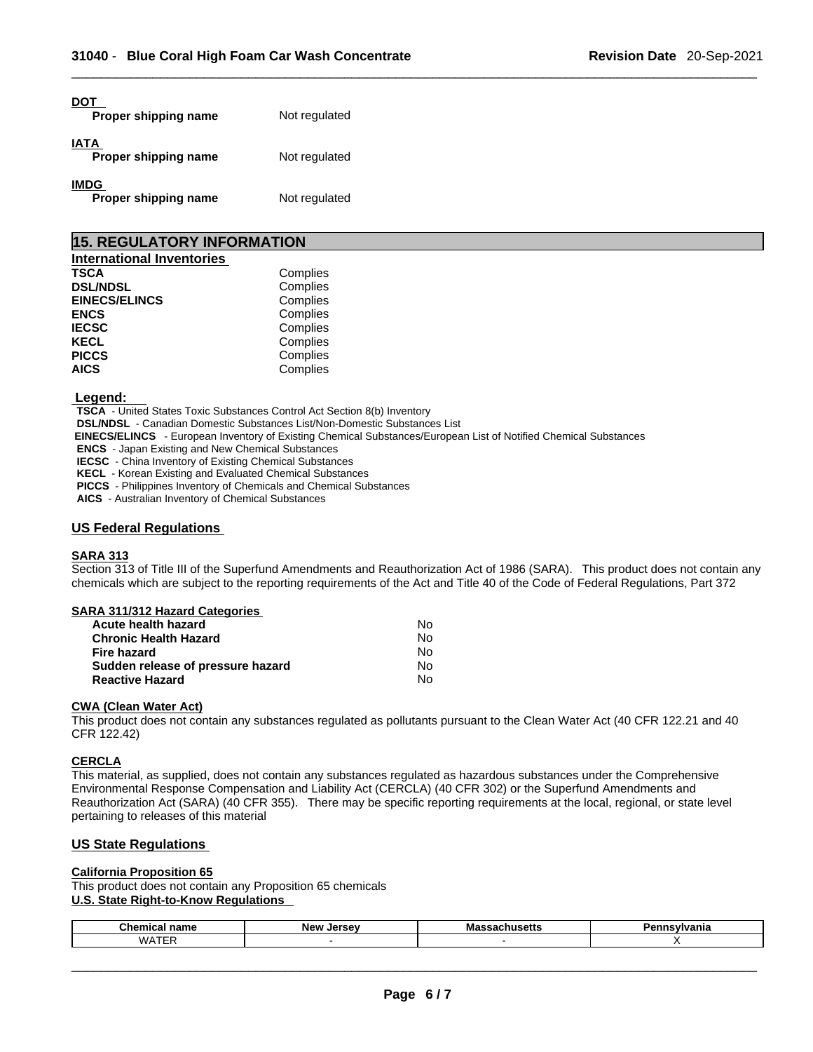| Proper shipping name                | Not regulated |
|-------------------------------------|---------------|
| IATA<br>Proper shipping name        | Not regulated |
| <b>IMDG</b><br>Proper shipping name | Not regulated |

| <b>15. REGULATORY INFORMATION</b> |          |  |  |  |
|-----------------------------------|----------|--|--|--|
| <b>International Inventories</b>  |          |  |  |  |
| <b>TSCA</b>                       | Complies |  |  |  |
| <b>DSL/NDSL</b>                   | Complies |  |  |  |
| <b>EINECS/ELINCS</b>              | Complies |  |  |  |
| <b>ENCS</b>                       | Complies |  |  |  |
| <b>IECSC</b>                      | Complies |  |  |  |
| <b>KECL</b>                       | Complies |  |  |  |
| <b>PICCS</b>                      | Complies |  |  |  |
| <b>AICS</b>                       | Complies |  |  |  |

#### **Legend:**

**TSCA** - United States Toxic Substances Control Act Section 8(b) Inventory

**DSL/NDSL** - Canadian Domestic Substances List/Non-Domestic Substances List

 **EINECS/ELINCS** - European Inventory of Existing Chemical Substances/European List of Notified Chemical Substances

**ENCS** - Japan Existing and New Chemical Substances

**IECSC** - China Inventory of Existing Chemical Substances

**KECL** - Korean Existing and Evaluated Chemical Substances

**PICCS** - Philippines Inventory of Chemicals and Chemical Substances

**AICS** - Australian Inventory of Chemical Substances

### **US Federal Regulations**

#### **SARA 313**

Section 313 of Title III of the Superfund Amendments and Reauthorization Act of 1986 (SARA). This product does not contain any chemicals which are subject to the reporting requirements of the Act and Title 40 of the Code of Federal Regulations, Part 372

| SARA 311/312 Hazard Categories    |    |  |
|-----------------------------------|----|--|
| Acute health hazard               | No |  |
| <b>Chronic Health Hazard</b>      | No |  |
| <b>Fire hazard</b>                | N٥ |  |
| Sudden release of pressure hazard | No |  |
| <b>Reactive Hazard</b>            | No |  |

#### **CWA** (Clean Water Act)

This product does not contain any substances regulated as pollutants pursuant to the Clean Water Act (40 CFR 122.21 and 40 CFR 122.42)

#### **CERCLA**

This material, as supplied, does not contain any substances regulated as hazardous substances under the Comprehensive Environmental Response Compensation and Liability Act (CERCLA) (40 CFR 302) or the Superfund Amendments and Reauthorization Act (SARA) (40 CFR 355). There may be specific reporting requirements at the local, regional, or state level pertaining to releases of this material

### **US State Regulations**

#### **California Proposition 65**

This product does not contain any Proposition 65 chemicals **U.S. State Right-to-Know Regulations** 

| Chemic<br>---<br>нанк | Nev .<br><b>Larcay</b><br> | M<br>75 L L L | . <i>. .</i> |
|-----------------------|----------------------------|---------------|--------------|
| $M\Delta T T$         |                            |               |              |